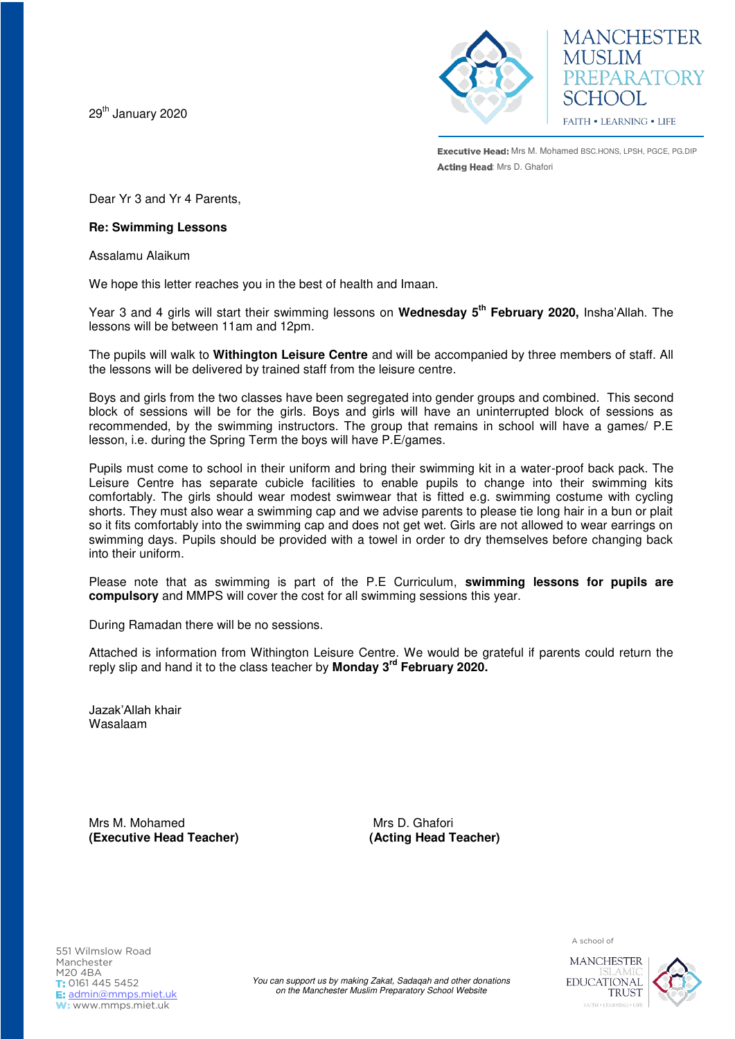29<sup>th</sup> January 2020



**MANCHESTER MUSLIM** PREPARATORY SCHOOL FAITH . LEARNING . LIFE

**Executive Head:** Mrs M. Mohamed BSC.HONS, LPSH, PGCE, PG.DIP Acting Head: Mrs D. Ghafori

Dear Yr 3 and Yr 4 Parents,

## **Re: Swimming Lessons**

Assalamu Alaikum

We hope this letter reaches you in the best of health and Imaan.

Year 3 and 4 girls will start their swimming lessons on **Wednesday 5th February 2020,** Insha'Allah. The lessons will be between 11am and 12pm.

The pupils will walk to **Withington Leisure Centre** and will be accompanied by three members of staff. All the lessons will be delivered by trained staff from the leisure centre.

Boys and girls from the two classes have been segregated into gender groups and combined. This second block of sessions will be for the girls. Boys and girls will have an uninterrupted block of sessions as recommended, by the swimming instructors. The group that remains in school will have a games/ P.E lesson, i.e. during the Spring Term the boys will have P.E/games.

Pupils must come to school in their uniform and bring their swimming kit in a water-proof back pack. The Leisure Centre has separate cubicle facilities to enable pupils to change into their swimming kits comfortably. The girls should wear modest swimwear that is fitted e.g. swimming costume with cycling shorts. They must also wear a swimming cap and we advise parents to please tie long hair in a bun or plait so it fits comfortably into the swimming cap and does not get wet. Girls are not allowed to wear earrings on swimming days. Pupils should be provided with a towel in order to dry themselves before changing back into their uniform.

Please note that as swimming is part of the P.E Curriculum, **swimming lessons for pupils are compulsory** and MMPS will cover the cost for all swimming sessions this year.

During Ramadan there will be no sessions.

Attached is information from Withington Leisure Centre. We would be grateful if parents could return the reply slip and hand it to the class teacher by **Monday 3rd February 2020.** 

Jazak'Allah khair Wasalaam

Mrs M. Mohamed Mrs D. Ghafori **(Executive Head Teacher)****(Acting Head Teacher)**

A school of